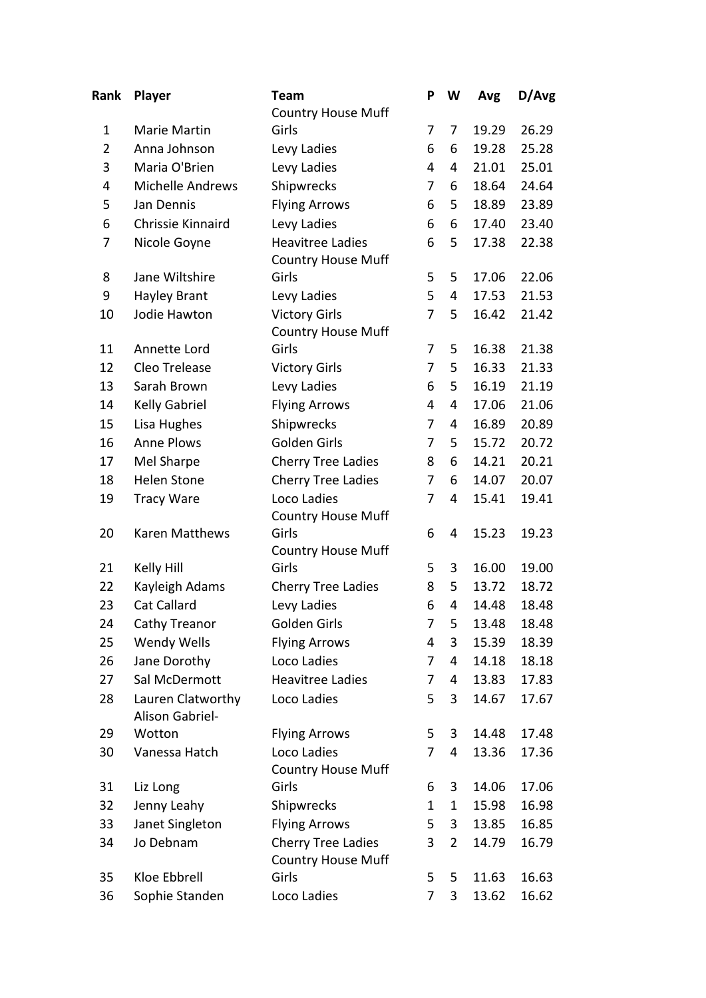| Rank           | <b>Player</b>           | Team                               | P           | W | Avg   | D/Avg |
|----------------|-------------------------|------------------------------------|-------------|---|-------|-------|
|                |                         | <b>Country House Muff</b>          |             |   |       |       |
| $\mathbf 1$    | Marie Martin            | Girls                              | 7           | 7 | 19.29 | 26.29 |
| $\overline{2}$ | Anna Johnson            | Levy Ladies                        | 6           | 6 | 19.28 | 25.28 |
| 3              | Maria O'Brien           | Levy Ladies                        | 4           | 4 | 21.01 | 25.01 |
| 4              | <b>Michelle Andrews</b> | Shipwrecks                         | 7           | 6 | 18.64 | 24.64 |
| 5              | Jan Dennis              | <b>Flying Arrows</b>               | 6           | 5 | 18.89 | 23.89 |
| 6              | Chrissie Kinnaird       | Levy Ladies                        | 6           | 6 | 17.40 | 23.40 |
| 7              | Nicole Goyne            | <b>Heavitree Ladies</b>            | 6           | 5 | 17.38 | 22.38 |
|                |                         | <b>Country House Muff</b>          |             |   |       |       |
| 8              | Jane Wiltshire          | Girls                              | 5           | 5 | 17.06 | 22.06 |
| 9              | <b>Hayley Brant</b>     | Levy Ladies                        | 5           | 4 | 17.53 | 21.53 |
| 10             | Jodie Hawton            | <b>Victory Girls</b>               | 7           | 5 | 16.42 | 21.42 |
|                |                         | <b>Country House Muff</b>          |             |   |       |       |
| 11             | Annette Lord            | Girls                              | 7           | 5 | 16.38 | 21.38 |
| 12             | Cleo Trelease           | <b>Victory Girls</b>               | 7           | 5 | 16.33 | 21.33 |
| 13             | Sarah Brown             | Levy Ladies                        | 6           | 5 | 16.19 | 21.19 |
| 14             | Kelly Gabriel           | <b>Flying Arrows</b>               | 4           | 4 | 17.06 | 21.06 |
| 15             | Lisa Hughes             | Shipwrecks                         | 7           | 4 | 16.89 | 20.89 |
| 16             | <b>Anne Plows</b>       | Golden Girls                       | 7           | 5 | 15.72 | 20.72 |
| 17             | Mel Sharpe              | <b>Cherry Tree Ladies</b>          | 8           | 6 | 14.21 | 20.21 |
| 18             | <b>Helen Stone</b>      | <b>Cherry Tree Ladies</b>          | 7           | 6 | 14.07 | 20.07 |
| 19             | <b>Tracy Ware</b>       | Loco Ladies                        | 7           | 4 | 15.41 | 19.41 |
|                |                         | <b>Country House Muff</b>          |             |   |       |       |
| 20             | Karen Matthews          | Girls                              | 6           | 4 | 15.23 | 19.23 |
|                |                         | <b>Country House Muff</b>          |             |   |       |       |
| 21             | Kelly Hill              | Girls                              | 5           | 3 | 16.00 | 19.00 |
| 22             | Kayleigh Adams          | <b>Cherry Tree Ladies</b>          | 8           | 5 | 13.72 | 18.72 |
| 23             | Cat Callard             | Levy Ladies                        | 6           | 4 | 14.48 | 18.48 |
| 24             | Cathy Treanor           | Golden Girls                       | 7           | 5 | 13.48 | 18.48 |
| 25             | <b>Wendy Wells</b>      | <b>Flying Arrows</b>               | 4           | 3 | 15.39 | 18.39 |
| 26             | Jane Dorothy            | Loco Ladies                        | 7           | 4 | 14.18 | 18.18 |
| 27             | Sal McDermott           | <b>Heavitree Ladies</b>            | 7           | 4 | 13.83 | 17.83 |
| 28             | Lauren Clatworthy       | Loco Ladies                        | 5           | 3 | 14.67 | 17.67 |
|                | Alison Gabriel-         |                                    |             |   |       |       |
| 29             | Wotton                  | <b>Flying Arrows</b>               | 5           | 3 | 14.48 | 17.48 |
| 30             | Vanessa Hatch           | Loco Ladies                        | 7           | 4 | 13.36 | 17.36 |
|                |                         | <b>Country House Muff</b>          |             |   |       |       |
| 31             | Liz Long                | Girls                              | 6           | 3 | 14.06 | 17.06 |
| 32             | Jenny Leahy             | Shipwrecks                         | $\mathbf 1$ | 1 | 15.98 | 16.98 |
| 33             | Janet Singleton         | <b>Flying Arrows</b>               | 5           | 3 | 13.85 | 16.85 |
| 34             | Jo Debnam               | <b>Cherry Tree Ladies</b>          | 3           | 2 | 14.79 | 16.79 |
| 35             | Kloe Ebbrell            | <b>Country House Muff</b><br>Girls | 5           | 5 | 11.63 | 16.63 |
|                |                         |                                    |             |   |       |       |
| 36             | Sophie Standen          | Loco Ladies                        | 7           | 3 | 13.62 | 16.62 |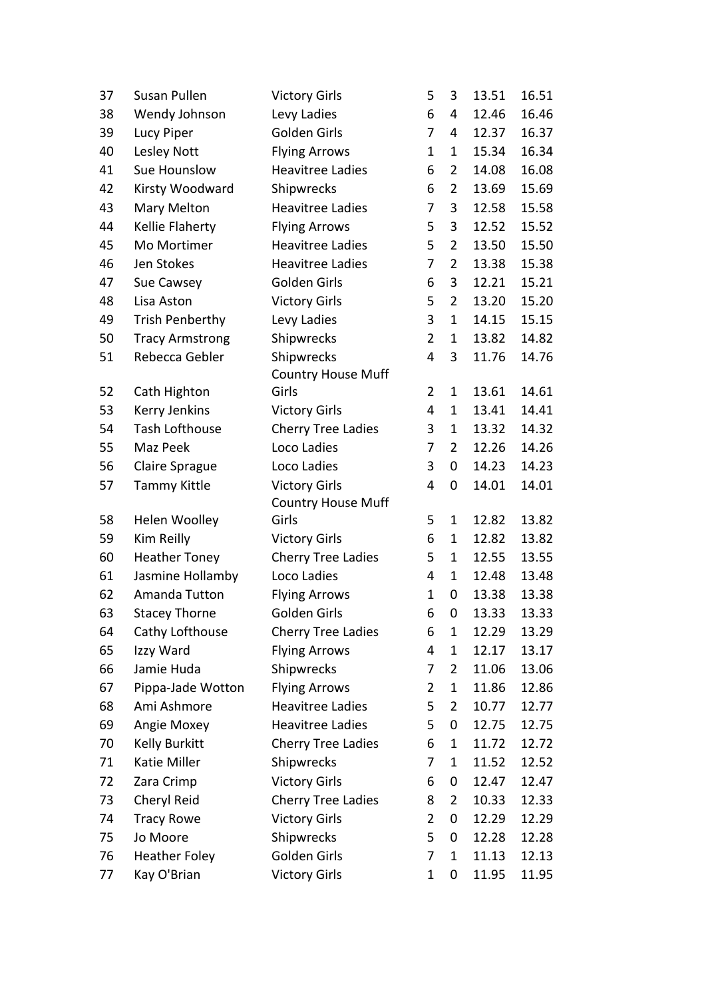| 37 | Susan Pullen           | <b>Victory Girls</b>      | 5              | 3              | 13.51 | 16.51 |
|----|------------------------|---------------------------|----------------|----------------|-------|-------|
| 38 | Wendy Johnson          | Levy Ladies               | 6              | 4              | 12.46 | 16.46 |
| 39 | Lucy Piper             | Golden Girls              | 7              | 4              | 12.37 | 16.37 |
| 40 | Lesley Nott            | <b>Flying Arrows</b>      | $\mathbf{1}$   | $\mathbf 1$    | 15.34 | 16.34 |
| 41 | Sue Hounslow           | <b>Heavitree Ladies</b>   | 6              | $\overline{2}$ | 14.08 | 16.08 |
| 42 | Kirsty Woodward        | Shipwrecks                | 6              | $\overline{2}$ | 13.69 | 15.69 |
| 43 | Mary Melton            | <b>Heavitree Ladies</b>   | 7              | 3              | 12.58 | 15.58 |
| 44 | Kellie Flaherty        | <b>Flying Arrows</b>      | 5              | 3              | 12.52 | 15.52 |
| 45 | Mo Mortimer            | <b>Heavitree Ladies</b>   | 5              | $\overline{2}$ | 13.50 | 15.50 |
| 46 | Jen Stokes             | <b>Heavitree Ladies</b>   | 7              | $\overline{2}$ | 13.38 | 15.38 |
| 47 | Sue Cawsey             | Golden Girls              | 6              | 3              | 12.21 | 15.21 |
| 48 | Lisa Aston             | <b>Victory Girls</b>      | 5              | $\overline{2}$ | 13.20 | 15.20 |
| 49 | <b>Trish Penberthy</b> | Levy Ladies               | 3              | $\mathbf 1$    | 14.15 | 15.15 |
| 50 | <b>Tracy Armstrong</b> | Shipwrecks                | $\overline{2}$ | $\mathbf{1}$   | 13.82 | 14.82 |
| 51 | Rebecca Gebler         | Shipwrecks                | 4              | 3              | 11.76 | 14.76 |
|    |                        | <b>Country House Muff</b> |                |                |       |       |
| 52 | Cath Highton           | Girls                     | $\overline{2}$ | $\mathbf 1$    | 13.61 | 14.61 |
| 53 | Kerry Jenkins          | <b>Victory Girls</b>      | 4              | 1              | 13.41 | 14.41 |
| 54 | <b>Tash Lofthouse</b>  | <b>Cherry Tree Ladies</b> | 3              | 1              | 13.32 | 14.32 |
| 55 | Maz Peek               | Loco Ladies               | 7              | $\overline{2}$ | 12.26 | 14.26 |
| 56 | Claire Sprague         | Loco Ladies               | 3              | 0              | 14.23 | 14.23 |
| 57 | <b>Tammy Kittle</b>    | <b>Victory Girls</b>      | 4              | 0              | 14.01 | 14.01 |
|    |                        | <b>Country House Muff</b> |                |                |       |       |
| 58 | Helen Woolley          | Girls                     | 5              | $\mathbf 1$    | 12.82 | 13.82 |
| 59 | Kim Reilly             | <b>Victory Girls</b>      | 6              | 1              | 12.82 | 13.82 |
| 60 | <b>Heather Toney</b>   | <b>Cherry Tree Ladies</b> | 5              | 1              | 12.55 | 13.55 |
| 61 | Jasmine Hollamby       | Loco Ladies               | 4              | $\mathbf{1}$   | 12.48 | 13.48 |
| 62 | Amanda Tutton          | <b>Flying Arrows</b>      | 1              | 0              | 13.38 | 13.38 |
| 63 | <b>Stacey Thorne</b>   | Golden Girls              | 6              | 0              | 13.33 | 13.33 |
| 64 | Cathy Lofthouse        | <b>Cherry Tree Ladies</b> | 6              | 1              | 12.29 | 13.29 |
| 65 | Izzy Ward              | <b>Flying Arrows</b>      | 4              | $\mathbf 1$    | 12.17 | 13.17 |
| 66 | Jamie Huda             | Shipwrecks                | 7              | $\overline{2}$ | 11.06 | 13.06 |
| 67 | Pippa-Jade Wotton      | <b>Flying Arrows</b>      | $\overline{2}$ | 1              | 11.86 | 12.86 |
| 68 | Ami Ashmore            | <b>Heavitree Ladies</b>   | 5              | $\overline{2}$ | 10.77 | 12.77 |
| 69 | Angie Moxey            | <b>Heavitree Ladies</b>   | 5              | 0              | 12.75 | 12.75 |
| 70 | Kelly Burkitt          | <b>Cherry Tree Ladies</b> | 6              | 1              | 11.72 | 12.72 |
| 71 | Katie Miller           | Shipwrecks                | 7              | 1              | 11.52 | 12.52 |
| 72 | Zara Crimp             | <b>Victory Girls</b>      | 6              | 0              | 12.47 | 12.47 |
| 73 | Cheryl Reid            | <b>Cherry Tree Ladies</b> | 8              | $\overline{2}$ | 10.33 | 12.33 |
| 74 | <b>Tracy Rowe</b>      | <b>Victory Girls</b>      | $\overline{2}$ | 0              | 12.29 | 12.29 |
| 75 | Jo Moore               | Shipwrecks                | 5              | 0              | 12.28 | 12.28 |
| 76 | <b>Heather Foley</b>   | Golden Girls              | 7              | 1              | 11.13 | 12.13 |
| 77 | Kay O'Brian            | <b>Victory Girls</b>      | $\mathbf{1}$   | $\pmb{0}$      | 11.95 | 11.95 |